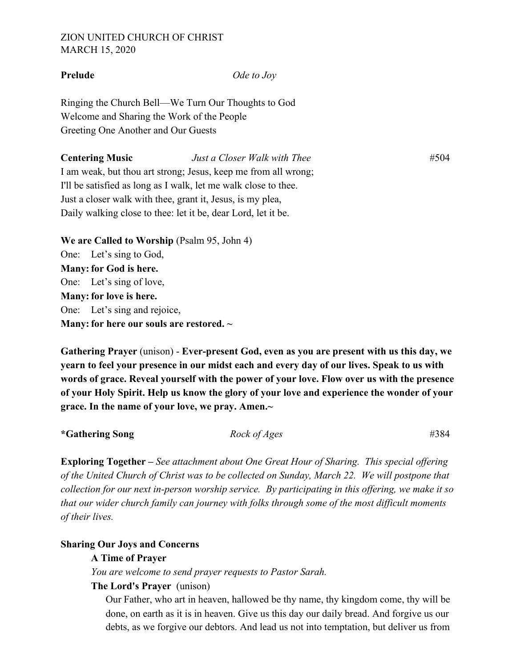# ZION UNITED CHURCH OF CHRIST MARCH 15, 2020

**Prelude** *Ode to Joy*

Ringing the Church Bell—We Turn Our Thoughts to God Welcome and Sharing the Work of the People Greeting One Another and Our Guests

**Centering Music** *Just a Closer Walk with Thee*#504 I am weak, but thou art strong; Jesus, keep me from all wrong; I'll be satisfied as long as I walk, let me walk close to thee. Just a closer walk with thee, grant it, Jesus, is my plea, Daily walking close to thee: let it be, dear Lord, let it be.

**We are Called to Worship** (Psalm 95, John 4) One: Let's sing to God, **Many: for God is here.**  One: Let's sing of love, **Many: for love is here.** One: Let's sing and rejoice, **Many: for here our souls are restored. ~**

**Gathering Prayer** (unison) - **Ever-present God, even as you are present with us this day, we yearn to feel your presence in our midst each and every day of our lives. Speak to us with words of grace. Reveal yourself with the power of your love. Flow over us with the presence of your Holy Spirit. Help us know the glory of your love and experience the wonder of your grace. In the name of your love, we pray. Amen.~**

**\*Gathering Song** *Rock of Ages* #384

**Exploring Together –** *See attachment about One Great Hour of Sharing. This special offering of the United Church of Christ was to be collected on Sunday, March 22. We will postpone that collection for our next in-person worship service. By participating in this offering, we make it so that our wider church family can journey with folks through some of the most difficult moments of their lives.* 

### **Sharing Our Joys and Concerns**

### **A Time of Prayer**

*You are welcome to send prayer requests to Pastor Sarah.* 

## **The Lord's Prayer** (unison)

Our Father, who art in heaven, hallowed be thy name, thy kingdom come, thy will be done, on earth as it is in heaven. Give us this day our daily bread. And forgive us our debts, as we forgive our debtors. And lead us not into temptation, but deliver us from